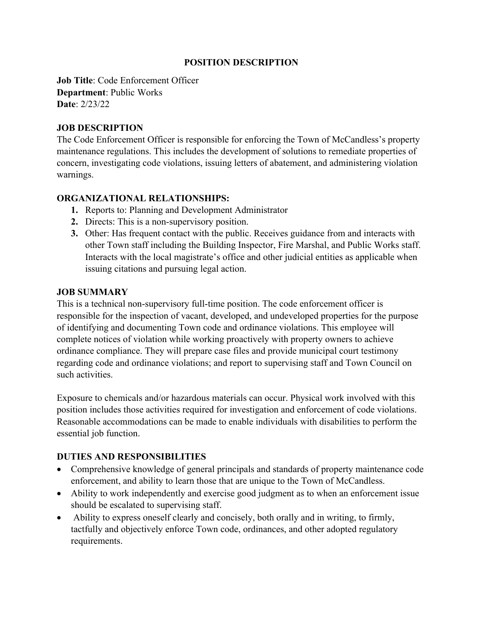### **POSITION DESCRIPTION**

**Job Title: Code Enforcement Officer Department**: Public Works **Date**: 2/23/22

### **JOB DESCRIPTION**

The Code Enforcement Officer is responsible for enforcing the Town of McCandless's property maintenance regulations. This includes the development of solutions to remediate properties of concern, investigating code violations, issuing letters of abatement, and administering violation warnings.

### **ORGANIZATIONAL RELATIONSHIPS:**

- **1.** Reports to: Planning and Development Administrator
- **2.** Directs: This is a non-supervisory position.
- **3.** Other: Has frequent contact with the public. Receives guidance from and interacts with other Town staff including the Building Inspector, Fire Marshal, and Public Works staff. Interacts with the local magistrate's office and other judicial entities as applicable when issuing citations and pursuing legal action.

### **JOB SUMMARY**

This is a technical non-supervisory full-time position. The code enforcement officer is responsible for the inspection of vacant, developed, and undeveloped properties for the purpose of identifying and documenting Town code and ordinance violations. This employee will complete notices of violation while working proactively with property owners to achieve ordinance compliance. They will prepare case files and provide municipal court testimony regarding code and ordinance violations; and report to supervising staff and Town Council on such activities.

Exposure to chemicals and/or hazardous materials can occur. Physical work involved with this position includes those activities required for investigation and enforcement of code violations. Reasonable accommodations can be made to enable individuals with disabilities to perform the essential job function.

## **DUTIES AND RESPONSIBILITIES**

- Comprehensive knowledge of general principals and standards of property maintenance code enforcement, and ability to learn those that are unique to the Town of McCandless.
- Ability to work independently and exercise good judgment as to when an enforcement issue should be escalated to supervising staff.
- Ability to express oneself clearly and concisely, both orally and in writing, to firmly, tactfully and objectively enforce Town code, ordinances, and other adopted regulatory requirements.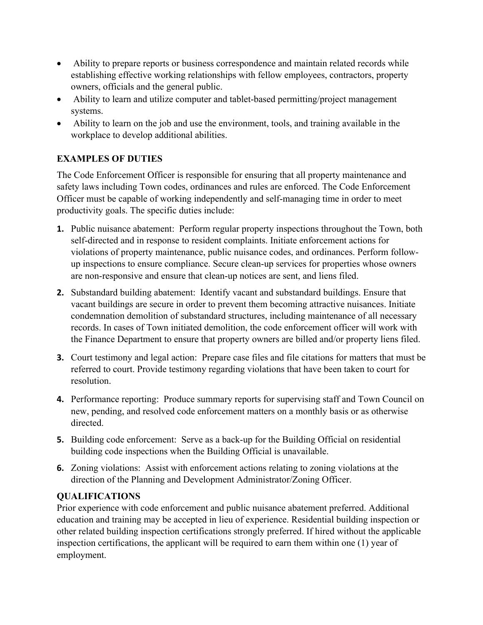- Ability to prepare reports or business correspondence and maintain related records while establishing effective working relationships with fellow employees, contractors, property owners, officials and the general public.
- Ability to learn and utilize computer and tablet-based permitting/project management systems.
- Ability to learn on the job and use the environment, tools, and training available in the workplace to develop additional abilities.

# **EXAMPLES OF DUTIES**

The Code Enforcement Officer is responsible for ensuring that all property maintenance and safety laws including Town codes, ordinances and rules are enforced. The Code Enforcement Officer must be capable of working independently and self-managing time in order to meet productivity goals. The specific duties include:

- **1.** Public nuisance abatement: Perform regular property inspections throughout the Town, both self-directed and in response to resident complaints. Initiate enforcement actions for violations of property maintenance, public nuisance codes, and ordinances. Perform followup inspections to ensure compliance. Secure clean-up services for properties whose owners are non-responsive and ensure that clean-up notices are sent, and liens filed.
- **2.** Substandard building abatement: Identify vacant and substandard buildings. Ensure that vacant buildings are secure in order to prevent them becoming attractive nuisances. Initiate condemnation demolition of substandard structures, including maintenance of all necessary records. In cases of Town initiated demolition, the code enforcement officer will work with the Finance Department to ensure that property owners are billed and/or property liens filed.
- **3.** Court testimony and legal action: Prepare case files and file citations for matters that must be referred to court. Provide testimony regarding violations that have been taken to court for resolution.
- **4.** Performance reporting: Produce summary reports for supervising staff and Town Council on new, pending, and resolved code enforcement matters on a monthly basis or as otherwise directed.
- **5.** Building code enforcement: Serve as a back-up for the Building Official on residential building code inspections when the Building Official is unavailable.
- **6.** Zoning violations: Assist with enforcement actions relating to zoning violations at the direction of the Planning and Development Administrator/Zoning Officer.

## **QUALIFICATIONS**

Prior experience with code enforcement and public nuisance abatement preferred. Additional education and training may be accepted in lieu of experience. Residential building inspection or other related building inspection certifications strongly preferred. If hired without the applicable inspection certifications, the applicant will be required to earn them within one (1) year of employment.